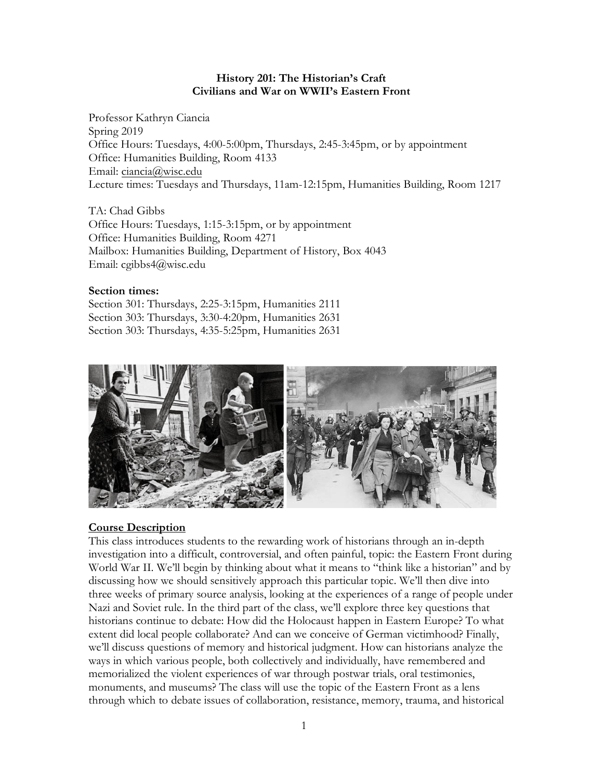#### **History 201: The Historian's Craft Civilians and War on WWII's Eastern Front**

Professor Kathryn Ciancia Spring 2019 Office Hours: Tuesdays, 4:00-5:00pm, Thursdays, 2:45-3:45pm, or by appointment Office: Humanities Building, Room 4133 Email: ciancia@wisc.edu Lecture times: Tuesdays and Thursdays, 11am-12:15pm, Humanities Building, Room 1217

TA: Chad Gibbs Office Hours: Tuesdays, 1:15-3:15pm, or by appointment Office: Humanities Building, Room 4271 Mailbox: Humanities Building, Department of History, Box 4043 Email: cgibbs4@wisc.edu

#### **Section times:**

Section 301: Thursdays, 2:25-3:15pm, Humanities 2111 Section 303: Thursdays, 3:30-4:20pm, Humanities 2631 Section 303: Thursdays, 4:35-5:25pm, Humanities 2631



### **Course Description**

This class introduces students to the rewarding work of historians through an in-depth investigation into a difficult, controversial, and often painful, topic: the Eastern Front during World War II. We'll begin by thinking about what it means to "think like a historian" and by discussing how we should sensitively approach this particular topic. We'll then dive into three weeks of primary source analysis, looking at the experiences of a range of people under Nazi and Soviet rule. In the third part of the class, we'll explore three key questions that historians continue to debate: How did the Holocaust happen in Eastern Europe? To what extent did local people collaborate? And can we conceive of German victimhood? Finally, we'll discuss questions of memory and historical judgment. How can historians analyze the ways in which various people, both collectively and individually, have remembered and memorialized the violent experiences of war through postwar trials, oral testimonies, monuments, and museums? The class will use the topic of the Eastern Front as a lens through which to debate issues of collaboration, resistance, memory, trauma, and historical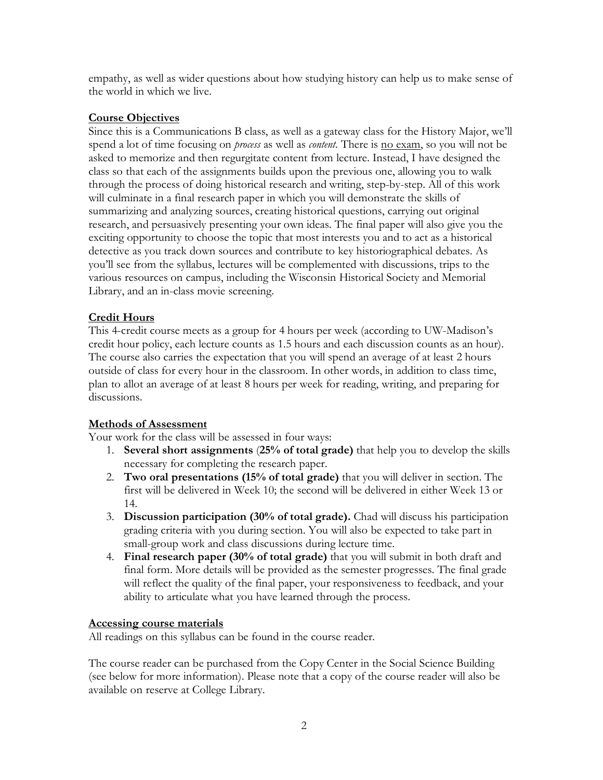empathy, as well as wider questions about how studying history can help us to make sense of the world in which we live.

#### **Course Objectives**

Since this is a Communications B class, as well as a gateway class for the History Major, we'll spend a lot of time focusing on *process* as well as *content.* There is no exam, so you will not be asked to memorize and then regurgitate content from lecture. Instead, I have designed the class so that each of the assignments builds upon the previous one, allowing you to walk through the process of doing historical research and writing, step-by-step. All of this work will culminate in a final research paper in which you will demonstrate the skills of summarizing and analyzing sources, creating historical questions, carrying out original research, and persuasively presenting your own ideas. The final paper will also give you the exciting opportunity to choose the topic that most interests you and to act as a historical detective as you track down sources and contribute to key historiographical debates. As you'll see from the syllabus, lectures will be complemented with discussions, trips to the various resources on campus, including the Wisconsin Historical Society and Memorial Library, and an in-class movie screening.

### **Credit Hours**

This 4-credit course meets as a group for 4 hours per week (according to UW-Madison's credit hour policy, each lecture counts as 1.5 hours and each discussion counts as an hour). The course also carries the expectation that you will spend an average of at least 2 hours outside of class for every hour in the classroom. In other words, in addition to class time, plan to allot an average of at least 8 hours per week for reading, writing, and preparing for discussions.

### **Methods of Assessment**

Your work for the class will be assessed in four ways:

- 1. **Several short assignments** (**25% of total grade)** that help you to develop the skills necessary for completing the research paper.
- 2. **Two oral presentations (15% of total grade)** that you will deliver in section. The first will be delivered in Week 10; the second will be delivered in either Week 13 or 14.
- 3. **Discussion participation (30% of total grade).** Chad will discuss his participation grading criteria with you during section. You will also be expected to take part in small-group work and class discussions during lecture time.
- 4. **Final research paper (30% of total grade)** that you will submit in both draft and final form. More details will be provided as the semester progresses. The final grade will reflect the quality of the final paper, your responsiveness to feedback, and your ability to articulate what you have learned through the process.

### **Accessing course materials**

All readings on this syllabus can be found in the course reader.

The course reader can be purchased from the Copy Center in the Social Science Building (see below for more information). Please note that a copy of the course reader will also be available on reserve at College Library.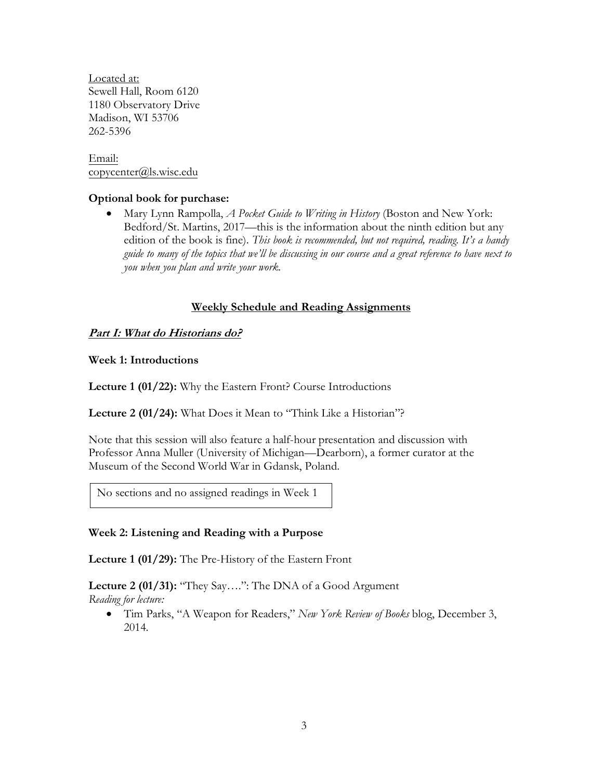Located at: Sewell Hall, Room 6120 1180 Observatory Drive Madison, WI 53706 262-5396

Email: copycenter@ls.wisc.edu

### **Optional book for purchase:**

• Mary Lynn Rampolla, *A Pocket Guide to Writing in History* (Boston and New York: Bedford/St. Martins, 2017—this is the information about the ninth edition but any edition of the book is fine). *This book is recommended, but not required, reading. It's a handy guide to many of the topics that we'll be discussing in our course and a great reference to have next to you when you plan and write your work.*

### **Weekly Schedule and Reading Assignments**

### **Part I: What do Historians do?**

**Week 1: Introductions**

**Lecture 1 (01/22):** Why the Eastern Front? Course Introductions

**Lecture 2 (01/24):** What Does it Mean to "Think Like a Historian"?

Note that this session will also feature a half-hour presentation and discussion with Professor Anna Muller (University of Michigan—Dearborn), a former curator at the Museum of the Second World War in Gdansk, Poland.

No sections and no assigned readings in Week 1

### **Week 2: Listening and Reading with a Purpose**

**Lecture 1 (01/29):** The Pre-History of the Eastern Front

**Lecture 2 (01/31):** "They Say….": The DNA of a Good Argument *Reading for lecture:*

• Tim Parks, "A Weapon for Readers," *New York Review of Books* blog, December 3, 2014.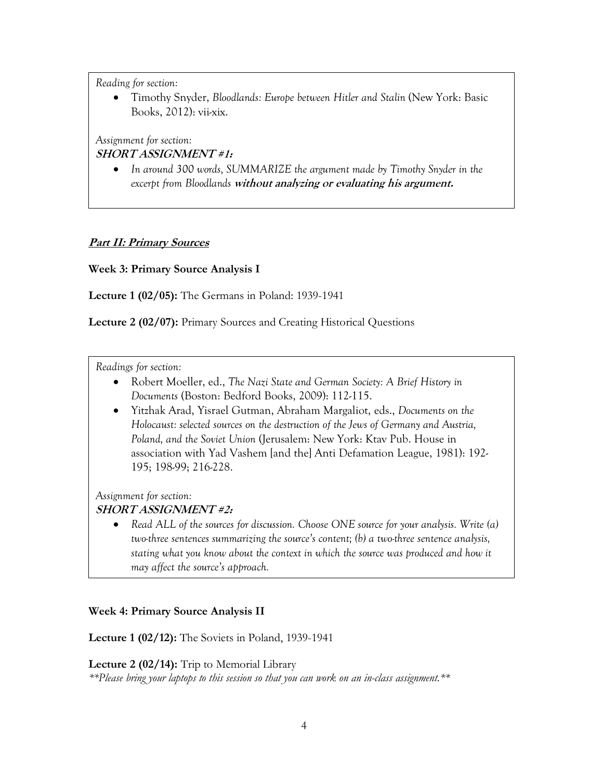• Timothy Snyder, *Bloodlands: Europe between Hitler and Stalin* (New York: Basic Books, 2012): vii-xix.

*Assignment for section:* 

## **SHORT ASSIGNMENT #1:**

• *In around 300 words, SUMMARIZE the argument made by Timothy Snyder in the excerpt from Bloodlands* **without analyzing or evaluating his argument.**

# **Part II: Primary Sources**

**Week 3: Primary Source Analysis I**

**Lecture 1 (02/05):** The Germans in Poland: 1939-1941

**Lecture 2 (02/07):** Primary Sources and Creating Historical Questions

*Readings for section:*

- Robert Moeller, ed., *The Nazi State and German Society: A Brief History in Documents* (Boston: Bedford Books, 2009): 112-115.
- Yitzhak Arad, Yisrael Gutman, Abraham Margaliot, eds., *Documents on the Holocaust: selected sources on the destruction of the Jews of Germany and Austria, Poland, and the Soviet Union* (Jerusalem: New York: Ktav Pub. House in association with Yad Vashem [and the] Anti Defamation League, 1981): 192- 195; 198-99; 216-228.

*Assignment for section:*

## **SHORT ASSIGNMENT #2:**

• *Read ALL of the sources for discussion. Choose ONE source for your analysis. Write (a) two-three sentences summarizing the source's content; (b) a two-three sentence analysis, stating what you know about the context in which the source was produced and how it may affect the source's approach.* 

### **Week 4: Primary Source Analysis II**

**Lecture 1 (02/12):** The Soviets in Poland, 1939-1941

**Lecture 2 (02/14):** Trip to Memorial Library

*\*\*Please bring your laptops to this session so that you can work on an in-class assignment.\*\**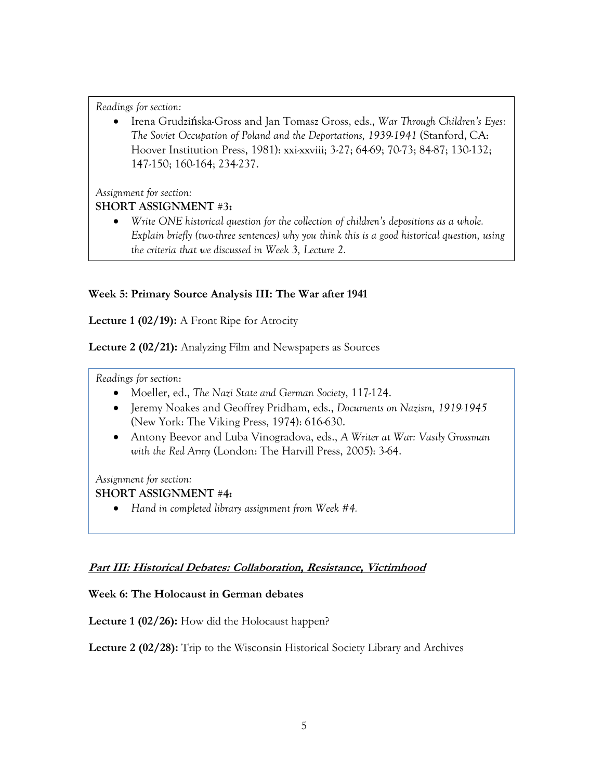• Irena Grudzińska-Gross and Jan Tomasz Gross, eds., *War Through Children's Eyes: The Soviet Occupation of Poland and the Deportations, 1939-1941* (Stanford, CA: Hoover Institution Press, 1981): xxi-xxviii; 3-27; 64-69; 70-73; 84-87; 130-132; 147-150; 160-164; 234-237.

*Assignment for section:*

## **SHORT ASSIGNMENT #3:**

• *Write ONE historical question for the collection of children's depositions as a whole. Explain briefly (two-three sentences) why you think this is a good historical question, using the criteria that we discussed in Week 3, Lecture 2.* 

# **Week 5: Primary Source Analysis III: The War after 1941**

**Lecture 1 (02/19):** A Front Ripe for Atrocity

**Lecture 2 (02/21):** Analyzing Film and Newspapers as Sources

*Readings for section*:

- Moeller, ed., *The Nazi State and German Society*, 117-124.
- Jeremy Noakes and Geoffrey Pridham, eds., *Documents on Nazism, 1919-1945* (New York: The Viking Press, 1974): 616-630.
- Antony Beevor and Luba Vinogradova, eds., *A Writer at War: Vasily Grossman with the Red Army* (London: The Harvill Press, 2005): 3-64.

*Assignment for section:*

## **SHORT ASSIGNMENT #4:**

• *Hand in completed library assignment from Week #4.*

## **Part III: Historical Debates: Collaboration, Resistance, Victimhood**

**Week 6: The Holocaust in German debates**

**Lecture 1 (02/26):** How did the Holocaust happen?

**Lecture 2 (02/28):** Trip to the Wisconsin Historical Society Library and Archives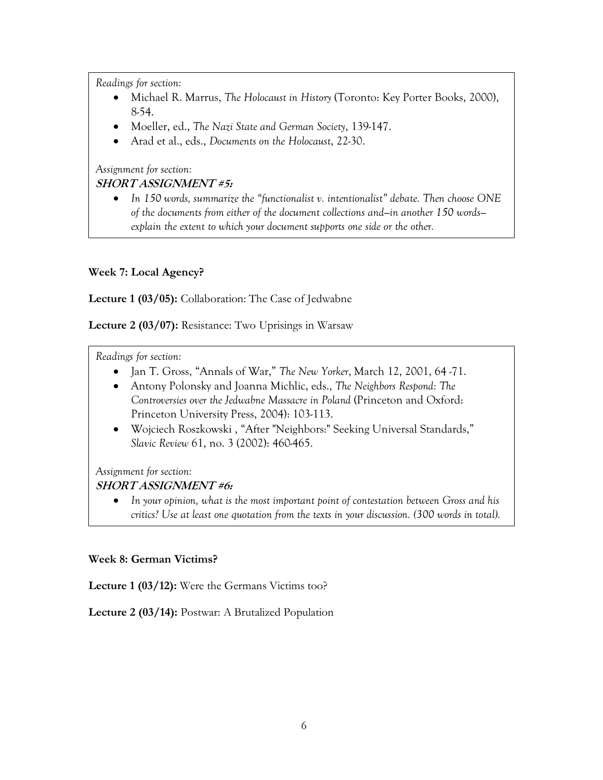- Michael R. Marrus, *The Holocaust in History* (Toronto: Key Porter Books, 2000), 8-54.
- Moeller, ed., *The Nazi State and German Society*, 139-147.
- Arad et al., eds., *Documents on the Holocaust*, 22-30.

*Assignment for section:*

# **SHORT ASSIGNMENT #5:**

• *In 150 words, summarize the "functionalist v. intentionalist" debate. Then choose ONE of the documents from either of the document collections and—in another 150 words explain the extent to which your document supports one side or the other.* 

## **Week 7: Local Agency?**

**Lecture 1 (03/05):** Collaboration: The Case of Jedwabne

**Lecture 2 (03/07):** Resistance: Two Uprisings in Warsaw

*Readings for section:*

- Jan T. Gross, "Annals of War," *The New Yorker*, March 12, 2001, 64 -71.
- Antony Polonsky and Joanna Michlic, eds., *The Neighbors Respond: The Controversies over the Jedwabne Massacre in Poland* (Princeton and Oxford: Princeton University Press, 2004): 103-113.
- Wojciech Roszkowski , "After "Neighbors:" Seeking Universal Standards," *Slavic Review* 61, no. 3 (2002): 460-465.

*Assignment for section:*

## **SHORT ASSIGNMENT #6:**

• *In your opinion, what is the most important point of contestation between Gross and his critics? Use at least one quotation from the texts in your discussion. (300 words in total).*

### **Week 8: German Victims?**

**Lecture 1 (03/12):** Were the Germans Victims too?

**Lecture 2 (03/14):** Postwar: A Brutalized Population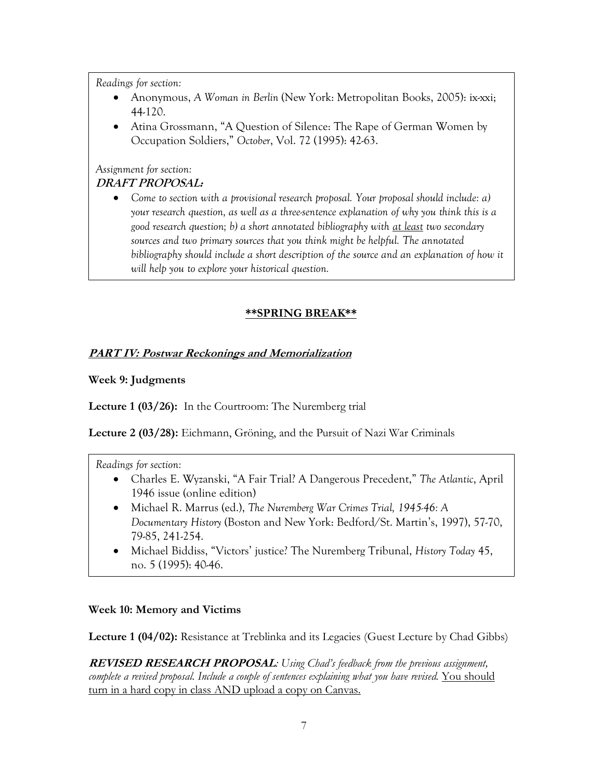- Anonymous, *A Woman in Berlin* (New York: Metropolitan Books, 2005): ix-xxi; 44-120.
- Atina Grossmann, "A Question of Silence: The Rape of German Women by Occupation Soldiers," *October*, Vol. 72 (1995): 42-63.

#### *Assignment for section:* **DRAFT PROPOSAL:**

• *Come to section with a provisional research proposal. Your proposal should include: a) your research question, as well as a three-sentence explanation of why you think this is a good research question; b) a short annotated bibliography with at least two secondary sources and two primary sources that you think might be helpful. The annotated*  bibliography should include a short description of the source and an explanation of how it *will help you to explore your historical question.* 

# **\*\*SPRING BREAK\*\***

## **PART IV: Postwar Reckonings and Memorialization**

## **Week 9: Judgments**

**Lecture 1 (03/26):** In the Courtroom: The Nuremberg trial

**Lecture 2 (03/28):** Eichmann, Gröning, and the Pursuit of Nazi War Criminals

*Readings for section:*

- Charles E. Wyzanski, "A Fair Trial? A Dangerous Precedent," *The Atlantic*, April 1946 issue (online edition)
- Michael R. Marrus (ed.), *The Nuremberg War Crimes Trial, 1945-46: A Documentary History* (Boston and New York: Bedford/St. Martin's, 1997), 57-70, 79-85, 241-254.
- Michael Biddiss, "Victors' justice? The Nuremberg Tribunal, *History Today* 45, no. 5 (1995): 40-46.

### **Week 10: Memory and Victims**

**Lecture 1 (04/02):** Resistance at Treblinka and its Legacies (Guest Lecture by Chad Gibbs)

**REVISED RESEARCH PROPOSAL***: Using Chad's feedback from the previous assignment,*  complete a revised proposal. Include a couple of sentences explaining what you have revised. You should turn in a hard copy in class AND upload a copy on Canvas.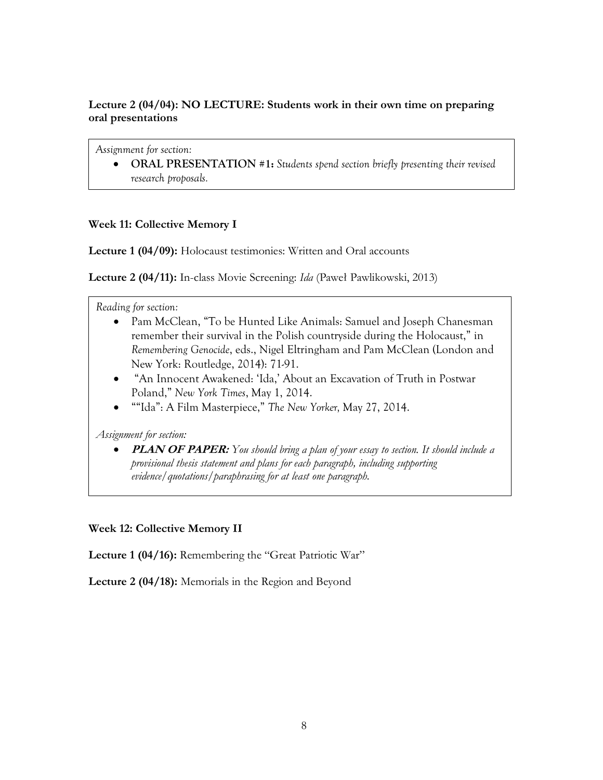### **Lecture 2 (04/04): NO LECTURE: Students work in their own time on preparing oral presentations**

*Assignment for section:*

• **ORAL PRESENTATION #1:** *Students spend section briefly presenting their revised research proposals.* 

### **Week 11: Collective Memory I**

**Lecture 1 (04/09):** Holocaust testimonies: Written and Oral accounts

**Lecture 2 (04/11):** In-class Movie Screening: *Ida* (Paweł Pawlikowski, 2013)

*Reading for section:*

- Pam McClean, "To be Hunted Like Animals: Samuel and Joseph Chanesman remember their survival in the Polish countryside during the Holocaust," in *Remembering Genocide*, eds., Nigel Eltringham and Pam McClean (London and New York: Routledge, 2014): 71-91.
- "An Innocent Awakened: 'Ida,' About an Excavation of Truth in Postwar Poland," *New York Times*, May 1, 2014.
- ""Ida": A Film Masterpiece," *The New Yorker,* May 27, 2014.

*Assignment for section:*

• **PLAN OF PAPER:** *You should bring a plan of your essay to section. It should include a provisional thesis statement and plans for each paragraph, including supporting evidence/quotations/paraphrasing for at least one paragraph.*

**Week 12: Collective Memory II**

**Lecture 1 (04/16):** Remembering the "Great Patriotic War"

**Lecture 2 (04/18):** Memorials in the Region and Beyond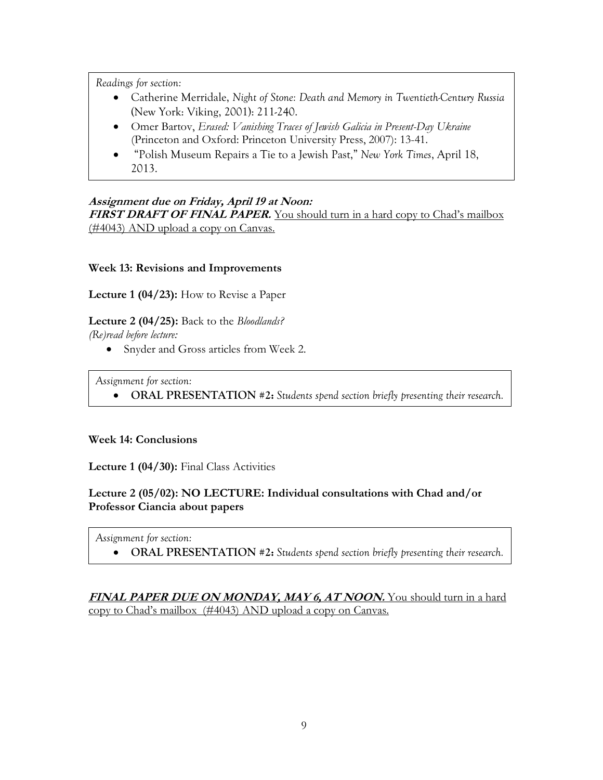- Catherine Merridale, *Night of Stone: Death and Memory in Twentieth-Century Russia* (New York: Viking, 2001): 211-240.
- Omer Bartov, *Erased: Vanishing Traces of Jewish Galicia in Present-Day Ukraine* (Princeton and Oxford: Princeton University Press, 2007): 13-41.
- "Polish Museum Repairs a Tie to a Jewish Past," *New York Times*, April 18, 2013.

### **Assignment due on Friday, April 19 at Noon:** FIRST DRAFT OF FINAL PAPER. You should turn in a hard copy to Chad's mailbox (#4043) AND upload a copy on Canvas.

### **Week 13: Revisions and Improvements**

**Lecture 1 (04/23):** How to Revise a Paper

**Lecture 2 (04/25):** Back to the *Bloodlands?*

*(Re)read before lecture:*

• Snyder and Gross articles from Week 2.

*Assignment for section:*

• **ORAL PRESENTATION #2:** *Students spend section briefly presenting their research.* 

### **Week 14: Conclusions**

**Lecture 1 (04/30):** Final Class Activities

# **Lecture 2 (05/02): NO LECTURE: Individual consultations with Chad and/or Professor Ciancia about papers**

*Assignment for section:*

• **ORAL PRESENTATION #2:** *Students spend section briefly presenting their research.* 

### **FINAL PAPER DUE ON MONDAY, MAY 6, AT NOON.** You should turn in a hard copy to Chad's mailbox (#4043) AND upload a copy on Canvas.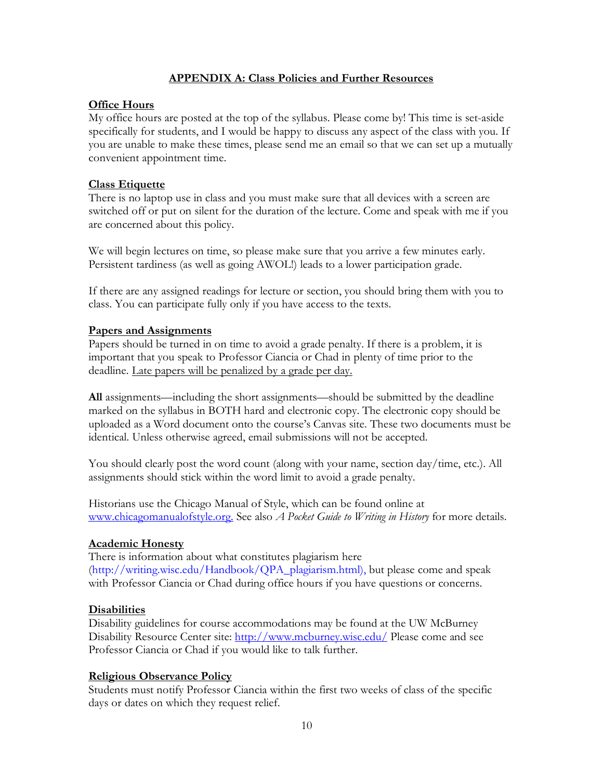### **APPENDIX A: Class Policies and Further Resources**

### **Office Hours**

My office hours are posted at the top of the syllabus. Please come by! This time is set-aside specifically for students, and I would be happy to discuss any aspect of the class with you. If you are unable to make these times, please send me an email so that we can set up a mutually convenient appointment time.

### **Class Etiquette**

There is no laptop use in class and you must make sure that all devices with a screen are switched off or put on silent for the duration of the lecture. Come and speak with me if you are concerned about this policy.

We will begin lectures on time, so please make sure that you arrive a few minutes early. Persistent tardiness (as well as going AWOL!) leads to a lower participation grade.

If there are any assigned readings for lecture or section, you should bring them with you to class. You can participate fully only if you have access to the texts.

### **Papers and Assignments**

Papers should be turned in on time to avoid a grade penalty. If there is a problem, it is important that you speak to Professor Ciancia or Chad in plenty of time prior to the deadline. Late papers will be penalized by a grade per day.

**All** assignments—including the short assignments—should be submitted by the deadline marked on the syllabus in BOTH hard and electronic copy. The electronic copy should be uploaded as a Word document onto the course's Canvas site. These two documents must be identical. Unless otherwise agreed, email submissions will not be accepted.

You should clearly post the word count (along with your name, section day/time, etc.). All assignments should stick within the word limit to avoid a grade penalty.

Historians use the Chicago Manual of Style, which can be found online at www.chicagomanualofstyle.org. See also *A Pocket Guide to Writing in History* for more details.

### **Academic Honesty**

There is information about what constitutes plagiarism here (http://writing.wisc.edu/Handbook/QPA\_plagiarism.html), but please come and speak with Professor Ciancia or Chad during office hours if you have questions or concerns.

#### **Disabilities**

Disability guidelines for course accommodations may be found at the UW McBurney Disability Resource Center site: http://www.mcburney.wisc.edu/ Please come and see Professor Ciancia or Chad if you would like to talk further.

### **Religious Observance Policy**

Students must notify Professor Ciancia within the first two weeks of class of the specific days or dates on which they request relief.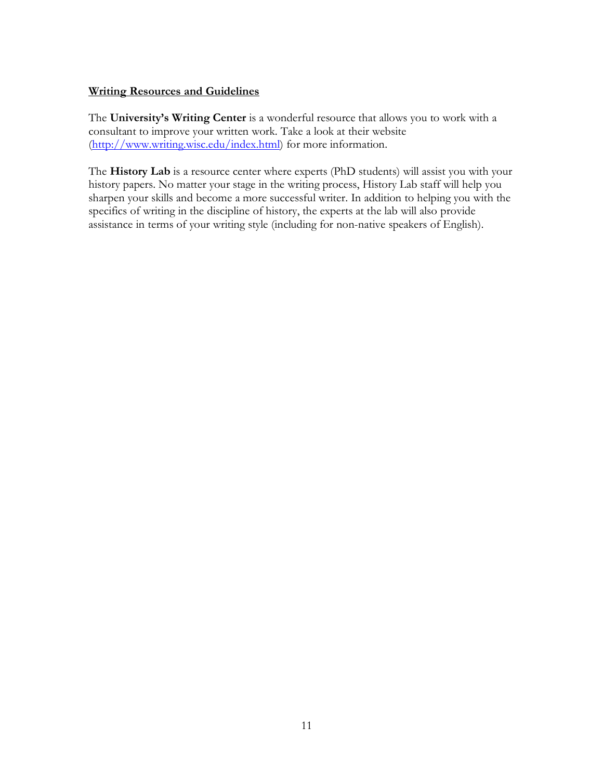### **Writing Resources and Guidelines**

The **University's Writing Center** is a wonderful resource that allows you to work with a consultant to improve your written work. Take a look at their website (http://www.writing.wisc.edu/index.html) for more information.

The **History Lab** is a resource center where experts (PhD students) will assist you with your history papers. No matter your stage in the writing process, History Lab staff will help you sharpen your skills and become a more successful writer. In addition to helping you with the specifics of writing in the discipline of history, the experts at the lab will also provide assistance in terms of your writing style (including for non-native speakers of English).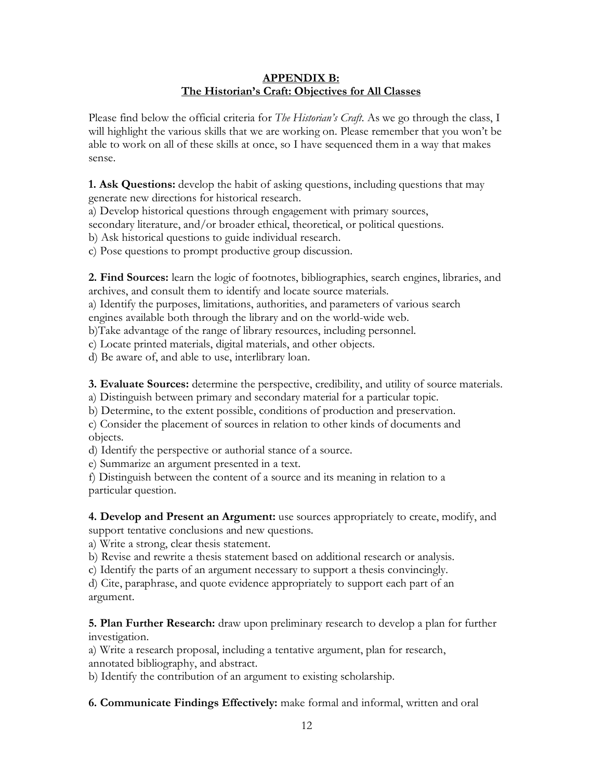### **APPENDIX B: The Historian's Craft: Objectives for All Classes**

Please find below the official criteria for *The Historian's Craft*. As we go through the class, I will highlight the various skills that we are working on. Please remember that you won't be able to work on all of these skills at once, so I have sequenced them in a way that makes sense.

**1. Ask Questions:** develop the habit of asking questions, including questions that may generate new directions for historical research.

a) Develop historical questions through engagement with primary sources,

secondary literature, and/or broader ethical, theoretical, or political questions.

b) Ask historical questions to guide individual research.

c) Pose questions to prompt productive group discussion.

**2. Find Sources:** learn the logic of footnotes, bibliographies, search engines, libraries, and archives, and consult them to identify and locate source materials.

a) Identify the purposes, limitations, authorities, and parameters of various search

engines available both through the library and on the world-wide web.

b)Take advantage of the range of library resources, including personnel.

c) Locate printed materials, digital materials, and other objects.

d) Be aware of, and able to use, interlibrary loan.

**3. Evaluate Sources:** determine the perspective, credibility, and utility of source materials.

a) Distinguish between primary and secondary material for a particular topic.

b) Determine, to the extent possible, conditions of production and preservation.

c) Consider the placement of sources in relation to other kinds of documents and objects.

d) Identify the perspective or authorial stance of a source.

e) Summarize an argument presented in a text.

f) Distinguish between the content of a source and its meaning in relation to a particular question.

**4. Develop and Present an Argument:** use sources appropriately to create, modify, and support tentative conclusions and new questions.

a) Write a strong, clear thesis statement.

b) Revise and rewrite a thesis statement based on additional research or analysis.

c) Identify the parts of an argument necessary to support a thesis convincingly.

d) Cite, paraphrase, and quote evidence appropriately to support each part of an argument.

**5. Plan Further Research:** draw upon preliminary research to develop a plan for further investigation.

a) Write a research proposal, including a tentative argument, plan for research, annotated bibliography, and abstract.

b) Identify the contribution of an argument to existing scholarship.

**6. Communicate Findings Effectively:** make formal and informal, written and oral